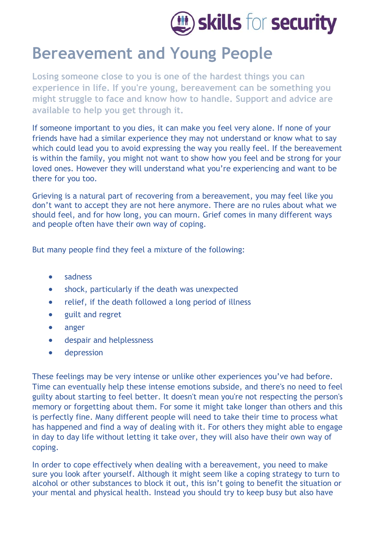

## **Bereavement and Young People**

**Losing someone close to you is one of the hardest things you can experience in life. If you're young, bereavement can be something you might struggle to face and know how to handle. Support and advice are available to help you get through it.**

If someone important to you dies, it can make you feel very alone. If none of your friends have had a similar experience they may not understand or know what to say which could lead you to avoid expressing the way you really feel. If the bereavement is within the family, you might not want to show how you feel and be strong for your loved ones. However they will understand what you're experiencing and want to be there for you too.

Grieving is a natural part of recovering from a bereavement, you may feel like you don't want to accept they are not here anymore. There are no rules about what we should feel, and for how long, you can mourn. Grief comes in many different ways and people often have their own way of coping.

But many people find they feel a mixture of the following:

- sadness
- shock, particularly if the death was unexpected
- relief, if the death followed a long period of illness
- guilt and regret
- [anger](https://www.nhs.uk/conditions/stress-anxiety-depression/about-anger/)
- despair and helplessness
- [depression](https://www.nhs.uk/conditions/stress-anxiety-depression/low-mood-and-depression/)

These feelings may be very intense or unlike other experiences you've had before. Time can eventually help these intense emotions subside, and there's no need to feel guilty about starting to feel better. It doesn't mean you're not respecting the person's memory or forgetting about them. For some it might take longer than others and this is perfectly fine. Many different people will need to take their time to process what has happened and find a way of dealing with it. For others they might able to engage in day to day life without letting it take over, they will also have their own way of coping.

In order to cope effectively when dealing with a bereavement, you need to make sure you look after yourself. Although it might seem like a coping strategy to turn to alcohol or other substances to block it out, this isn't going to benefit the situation or your mental and physical health. Instead you should try to keep busy but also have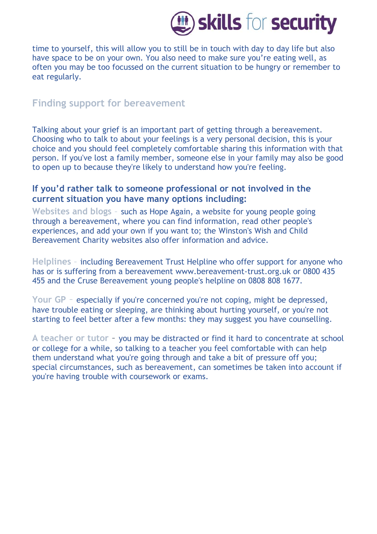

time to yourself, this will allow you to still be in touch with day to day life but also have space to be on your own. You also need to make sure you're eating well, as often you may be too focussed on the current situation to be hungry or remember to eat regularly.

## **Finding support for bereavement**

Talking about your grief is an important part of getting through a bereavement. Choosing who to talk to about your feelings is a very personal decision, this is your choice and you should feel completely comfortable sharing this information with that person. If you've lost a family member, someone else in your family may also be good to open up to because they're likely to understand how you're feeling.

## **If you'd rather talk to someone professional or not involved in the current situation you have many options including:**

**Websites and blogs** – such as [Hope Again,](http://hopeagain.org.uk/) a website for young people going through a bereavement, where you can find information, read other people's experiences, and add your own if you want to; the [Winston's Wish](http://www.winstonswish.org.uk/) and [Child](http://www.childbereavementuk.org/)  [Bereavement Charity](http://www.childbereavementuk.org/) websites also offer information and advice.

**Helplines** – including Bereavement Trust Helpline who offer support for anyone who has or is suffering from a bereavement [www.bereavement-trust.org.uk](http://www.bereavement-trust.org.uk/) or 0800 435 455 and the [Cruse Bereavement](http://www.cruse.org.uk/) young people's helpline on 0808 808 1677.

**[Your GP](https://www.nhs.uk/Service-Search/GP/LocationSearch/4)** – especially if you're concerned you're not coping, might be depressed, have trouble eating or sleeping, are thinking about hurting yourself, or you're not starting to feel better after a few months: they may suggest you have [counselling.](https://www.nhs.uk/conditions/counselling/)

**A teacher or tutor** – you may be distracted or find it hard to concentrate at school or college for a while, so talking to a teacher you feel comfortable with can help them understand what you're going through and take a bit of pressure off you; special circumstances, such as bereavement, can sometimes be taken into account if you're having trouble with coursework or exams.